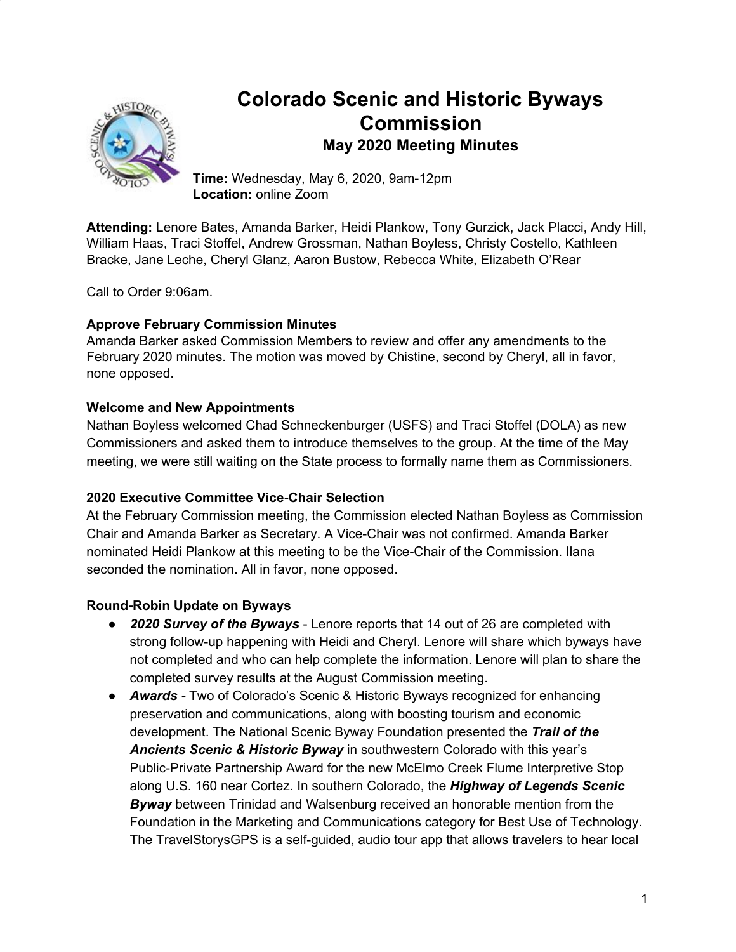

# **Colorado Scenic and Historic Byways Commission May 2020 Meeting Minutes**

**Time:** Wednesday, May 6, 2020, 9am-12pm **Location:** online Zoom

**Attending:** Lenore Bates, Amanda Barker, Heidi Plankow, Tony Gurzick, Jack Placci, Andy Hill, William Haas, Traci Stoffel, Andrew Grossman, Nathan Boyless, Christy Costello, Kathleen Bracke, Jane Leche, Cheryl Glanz, Aaron Bustow, Rebecca White, Elizabeth O'Rear

Call to Order 9:06am.

## **Approve February Commission Minutes**

Amanda Barker asked Commission Members to review and offer any amendments to the February 2020 minutes. The motion was moved by Chistine, second by Cheryl, all in favor, none opposed.

## **Welcome and New Appointments**

Nathan Boyless welcomed Chad Schneckenburger (USFS) and Traci Stoffel (DOLA) as new Commissioners and asked them to introduce themselves to the group. At the time of the May meeting, we were still waiting on the State process to formally name them as Commissioners.

## **2020 Executive Committee Vice-Chair Selection**

At the February Commission meeting, the Commission elected Nathan Boyless as Commission Chair and Amanda Barker as Secretary. A Vice-Chair was not confirmed. Amanda Barker nominated Heidi Plankow at this meeting to be the Vice-Chair of the Commission. Ilana seconded the nomination. All in favor, none opposed.

## **Round-Robin Update on Byways**

- *2020 Survey of the Byways* Lenore reports that 14 out of 26 are completed with strong follow-up happening with Heidi and Cheryl. Lenore will share which byways have not completed and who can help complete the information. Lenore will plan to share the completed survey results at the August Commission meeting.
- *Awards -* Two of Colorado's Scenic & Historic Byways recognized for enhancing preservation and communications, along with boosting tourism and economic development. The National Scenic Byway Foundation presented the *Trail of the Ancients Scenic & Historic Byway* in southwestern Colorado with this year's Public-Private Partnership Award for the new McElmo Creek Flume Interpretive Stop along U.S. 160 near Cortez. In southern Colorado, the *Highway of Legends Scenic Byway* between Trinidad and Walsenburg received an honorable mention from the Foundation in the Marketing and Communications category for Best Use of Technology. The TravelStorysGPS is a self-guided, audio tour app that allows travelers to hear local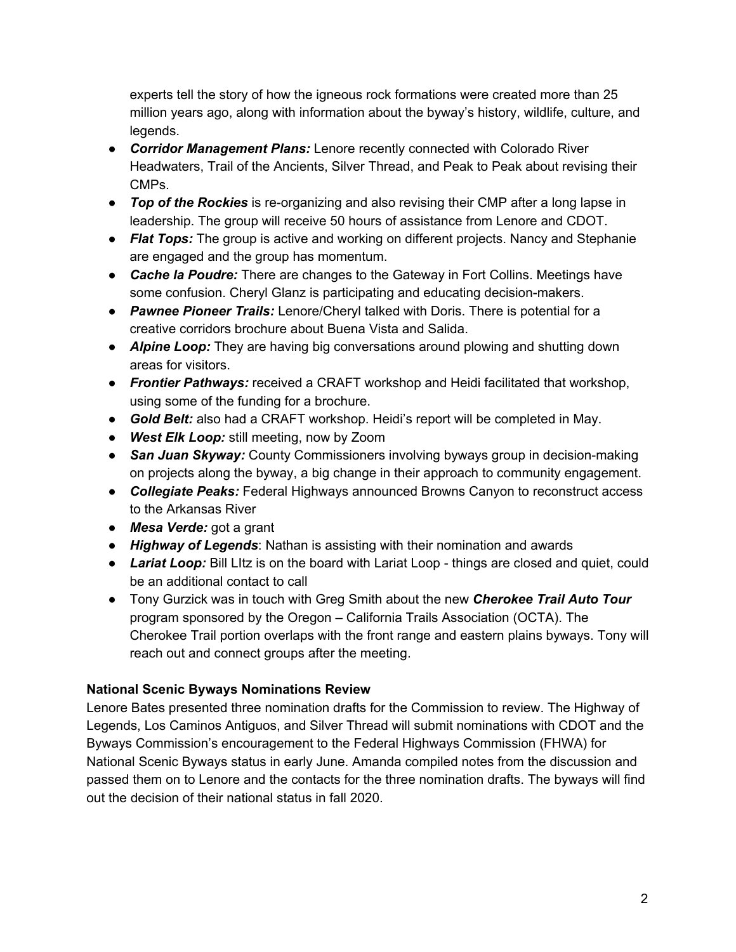experts tell the story of how the igneous rock formations were created more than 25 million years ago, along with information about the byway's history, wildlife, culture, and legends.

- *Corridor Management Plans:* Lenore recently connected with Colorado River Headwaters, Trail of the Ancients, Silver Thread, and Peak to Peak about revising their CMPs.
- *Top of the Rockies* is re-organizing and also revising their CMP after a long lapse in leadership. The group will receive 50 hours of assistance from Lenore and CDOT.
- *Flat Tops:* The group is active and working on different projects. Nancy and Stephanie are engaged and the group has momentum.
- *Cache la Poudre:* There are changes to the Gateway in Fort Collins. Meetings have some confusion. Cheryl Glanz is participating and educating decision-makers.
- *Pawnee Pioneer Trails:* Lenore/Cheryl talked with Doris. There is potential for a creative corridors brochure about Buena Vista and Salida.
- *Alpine Loop:* They are having big conversations around plowing and shutting down areas for visitors.
- *Frontier Pathways:* received a CRAFT workshop and Heidi facilitated that workshop, using some of the funding for a brochure.
- *Gold Belt:* also had a CRAFT workshop. Heidi's report will be completed in May.
- *West Elk Loop:* still meeting, now by Zoom
- *San Juan Skyway:* County Commissioners involving byways group in decision-making on projects along the byway, a big change in their approach to community engagement.
- *Collegiate Peaks:* Federal Highways announced Browns Canyon to reconstruct access to the Arkansas River
- *Mesa Verde:* got a grant
- *Highway of Legends*: Nathan is assisting with their nomination and awards
- *Lariat Loop:* Bill LItz is on the board with Lariat Loop things are closed and quiet, could be an additional contact to call
- Tony Gurzick was in touch with Greg Smith about the new *Cherokee Trail Auto Tour* program sponsored by the Oregon – California Trails Association (OCTA). The Cherokee Trail portion overlaps with the front range and eastern plains byways. Tony will reach out and connect groups after the meeting.

# **National Scenic Byways Nominations Review**

Lenore Bates presented three nomination drafts for the Commission to review. The Highway of Legends, Los Caminos Antiguos, and Silver Thread will submit nominations with CDOT and the Byways Commission's encouragement to the Federal Highways Commission (FHWA) for National Scenic Byways status in early June. Amanda compiled notes from the discussion and passed them on to Lenore and the contacts for the three nomination drafts. The byways will find out the decision of their national status in fall 2020.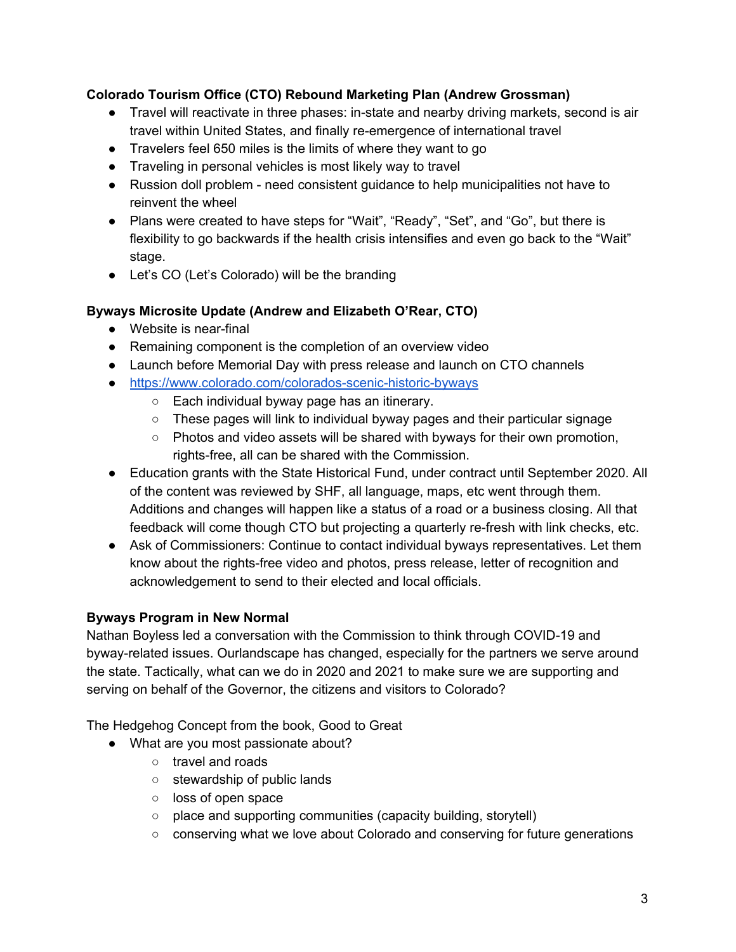## **Colorado Tourism Office (CTO) Rebound Marketing Plan (Andrew Grossman)**

- Travel will reactivate in three phases: in-state and nearby driving markets, second is air travel within United States, and finally re-emergence of international travel
- Travelers feel 650 miles is the limits of where they want to go
- Traveling in personal vehicles is most likely way to travel
- Russion doll problem need consistent guidance to help municipalities not have to reinvent the wheel
- Plans were created to have steps for "Wait", "Ready", "Set", and "Go", but there is flexibility to go backwards if the health crisis intensifies and even go back to the "Wait" stage.
- Let's CO (Let's Colorado) will be the branding

## **Byways Microsite Update (Andrew and Elizabeth O'Rear, CTO)**

- Website is near-final
- Remaining component is the completion of an overview video
- Launch before Memorial Day with press release and launch on CTO channels
- <https://www.colorado.com/colorados-scenic-historic-byways>
	- Each individual byway page has an itinerary.
	- $\circ$  These pages will link to individual byway pages and their particular signage
	- Photos and video assets will be shared with byways for their own promotion, rights-free, all can be shared with the Commission.
- Education grants with the State Historical Fund, under contract until September 2020. All of the content was reviewed by SHF, all language, maps, etc went through them. Additions and changes will happen like a status of a road or a business closing. All that feedback will come though CTO but projecting a quarterly re-fresh with link checks, etc.
- Ask of Commissioners: Continue to contact individual byways representatives. Let them know about the rights-free video and photos, press release, letter of recognition and acknowledgement to send to their elected and local officials.

# **Byways Program in New Normal**

Nathan Boyless led a conversation with the Commission to think through COVID-19 and byway-related issues. Ourlandscape has changed, especially for the partners we serve around the state. Tactically, what can we do in 2020 and 2021 to make sure we are supporting and serving on behalf of the Governor, the citizens and visitors to Colorado?

The Hedgehog Concept from the book, Good to Great

- What are you most passionate about?
	- travel and roads
	- stewardship of public lands
	- loss of open space
	- place and supporting communities (capacity building, storytell)
	- conserving what we love about Colorado and conserving for future generations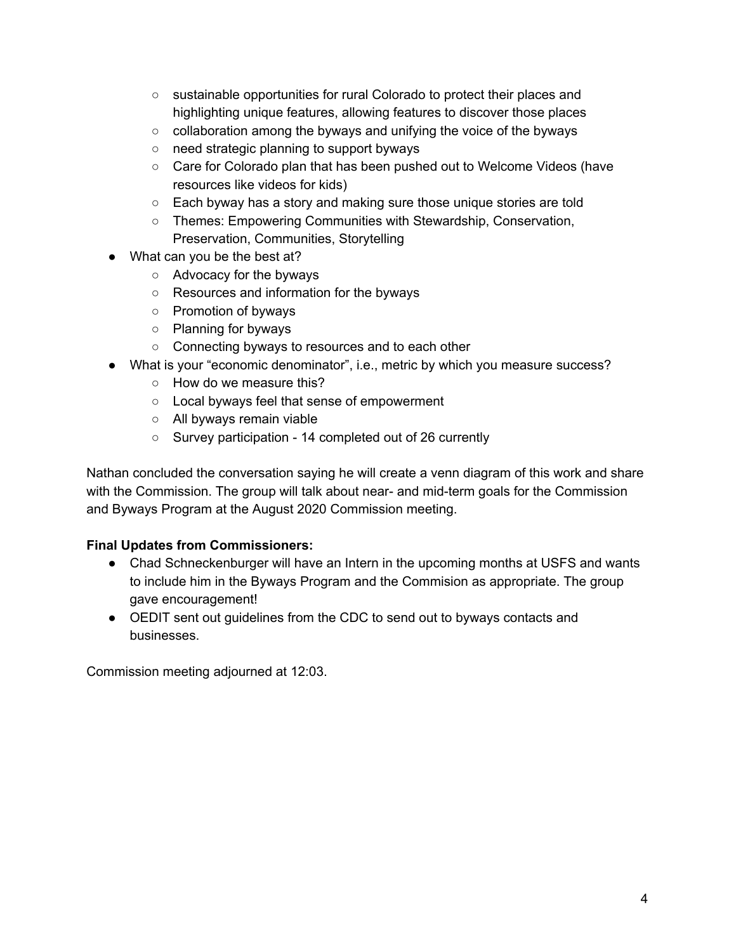- sustainable opportunities for rural Colorado to protect their places and highlighting unique features, allowing features to discover those places
- collaboration among the byways and unifying the voice of the byways
- need strategic planning to support byways
- Care for Colorado plan that has been pushed out to Welcome Videos (have resources like videos for kids)
- Each byway has a story and making sure those unique stories are told
- Themes: Empowering Communities with Stewardship, Conservation, Preservation, Communities, Storytelling
- What can you be the best at?
	- Advocacy for the byways
	- Resources and information for the byways
	- Promotion of byways
	- Planning for byways
	- Connecting byways to resources and to each other
- **●** What is your "economic denominator", i.e., metric by which you measure success?
	- How do we measure this?
	- Local byways feel that sense of empowerment
	- All byways remain viable
	- Survey participation 14 completed out of 26 currently

Nathan concluded the conversation saying he will create a venn diagram of this work and share with the Commission. The group will talk about near- and mid-term goals for the Commission and Byways Program at the August 2020 Commission meeting.

## **Final Updates from Commissioners:**

- Chad Schneckenburger will have an Intern in the upcoming months at USFS and wants to include him in the Byways Program and the Commision as appropriate. The group gave encouragement!
- OEDIT sent out guidelines from the CDC to send out to byways contacts and businesses.

Commission meeting adjourned at 12:03.